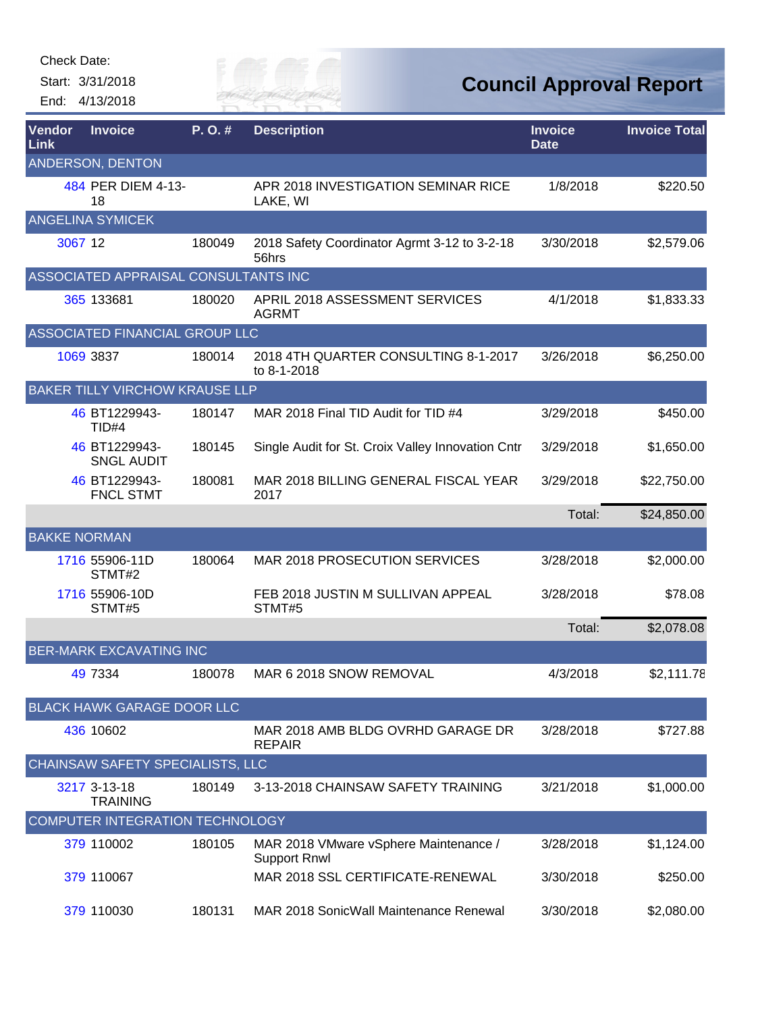Check Date:

Start: 3/31/2018 End: 4/13/2018



| <b>Vendor</b><br><b>Link</b> | <b>Invoice</b>                         | P.O.#  | <b>Description</b>                                           | <b>Invoice</b><br><b>Date</b> | <b>Invoice Total</b> |
|------------------------------|----------------------------------------|--------|--------------------------------------------------------------|-------------------------------|----------------------|
|                              | ANDERSON, DENTON                       |        |                                                              |                               |                      |
|                              | 484 PER DIEM 4-13-<br>18               |        | APR 2018 INVESTIGATION SEMINAR RICE<br>LAKE, WI              | 1/8/2018                      | \$220.50             |
|                              | <b>ANGELINA SYMICEK</b>                |        |                                                              |                               |                      |
| 3067 12                      |                                        | 180049 | 2018 Safety Coordinator Agrmt 3-12 to 3-2-18<br>56hrs        | 3/30/2018                     | \$2,579.06           |
|                              | ASSOCIATED APPRAISAL CONSULTANTS INC   |        |                                                              |                               |                      |
|                              | 365 133681                             | 180020 | APRIL 2018 ASSESSMENT SERVICES<br><b>AGRMT</b>               | 4/1/2018                      | \$1,833.33           |
|                              | ASSOCIATED FINANCIAL GROUP LLC         |        |                                                              |                               |                      |
|                              | 1069 3837                              | 180014 | 2018 4TH QUARTER CONSULTING 8-1-2017<br>to 8-1-2018          | 3/26/2018                     | \$6,250.00           |
|                              | BAKER TILLY VIRCHOW KRAUSE LLP         |        |                                                              |                               |                      |
|                              | 46 BT1229943-<br>TID#4                 | 180147 | MAR 2018 Final TID Audit for TID #4                          | 3/29/2018                     | \$450.00             |
|                              | 46 BT1229943-<br><b>SNGL AUDIT</b>     | 180145 | Single Audit for St. Croix Valley Innovation Cntr            | 3/29/2018                     | \$1,650.00           |
|                              | 46 BT1229943-<br><b>FNCL STMT</b>      | 180081 | MAR 2018 BILLING GENERAL FISCAL YEAR<br>2017                 | 3/29/2018                     | \$22,750.00          |
|                              |                                        |        |                                                              | Total:                        | \$24,850.00          |
| <b>BAKKE NORMAN</b>          |                                        |        |                                                              |                               |                      |
|                              | 1716 55906-11D<br>STMT#2               | 180064 | MAR 2018 PROSECUTION SERVICES                                | 3/28/2018                     | \$2,000.00           |
|                              | 1716 55906-10D<br>STMT#5               |        | FEB 2018 JUSTIN M SULLIVAN APPEAL<br>STMT#5                  | 3/28/2018                     | \$78.08              |
|                              |                                        |        |                                                              | Total:                        | \$2,078.08           |
|                              | <b>BER-MARK EXCAVATING INC</b>         |        |                                                              |                               |                      |
|                              | 49 7334                                | 180078 | MAR 6 2018 SNOW REMOVAL                                      | 4/3/2018                      | \$2,111.78           |
|                              | <b>BLACK HAWK GARAGE DOOR LLC</b>      |        |                                                              |                               |                      |
|                              | 436 10602                              |        | MAR 2018 AMB BLDG OVRHD GARAGE DR<br><b>REPAIR</b>           | 3/28/2018                     | \$727.88             |
|                              | CHAINSAW SAFETY SPECIALISTS, LLC       |        |                                                              |                               |                      |
|                              | 3217 3-13-18<br><b>TRAINING</b>        | 180149 | 3-13-2018 CHAINSAW SAFETY TRAINING                           | 3/21/2018                     | \$1,000.00           |
|                              | <b>COMPUTER INTEGRATION TECHNOLOGY</b> |        |                                                              |                               |                      |
|                              | 379 110002                             | 180105 | MAR 2018 VMware vSphere Maintenance /<br><b>Support Rnwl</b> | 3/28/2018                     | \$1,124.00           |
|                              | 379 110067                             |        | MAR 2018 SSL CERTIFICATE-RENEWAL                             | 3/30/2018                     | \$250.00             |
|                              | 379 110030                             | 180131 | MAR 2018 SonicWall Maintenance Renewal                       | 3/30/2018                     | \$2,080.00           |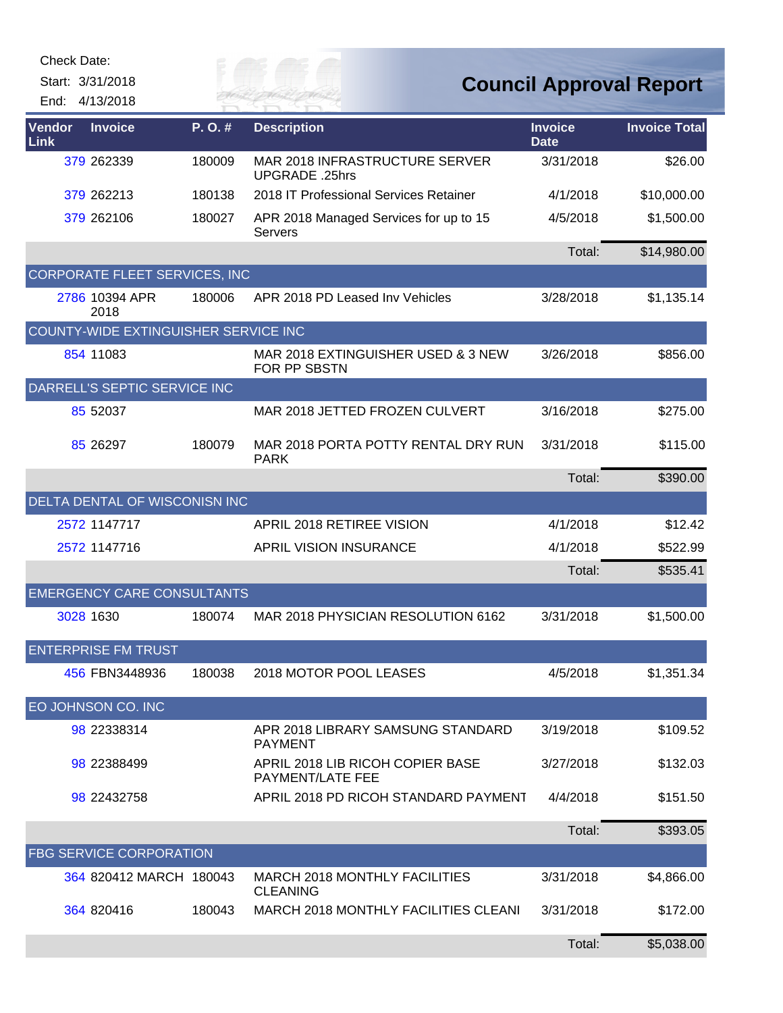Check Date:

Start: 3/31/2018 End: 4/13/2018 *Cuy of* 

| <b>Vendor</b><br><b>Link</b> | <b>Invoice</b>                       | P.O.#  | <b>Description</b>                                      | <b>Invoice</b><br><b>Date</b> | <b>Invoice Total</b> |
|------------------------------|--------------------------------------|--------|---------------------------------------------------------|-------------------------------|----------------------|
|                              | 379 262339                           | 180009 | <b>MAR 2018 INFRASTRUCTURE SERVER</b><br>UPGRADE .25hrs | 3/31/2018                     | \$26.00              |
|                              | 379 262213                           | 180138 | 2018 IT Professional Services Retainer                  | 4/1/2018                      | \$10,000.00          |
|                              | 379 262106                           | 180027 | APR 2018 Managed Services for up to 15<br>Servers       | 4/5/2018                      | \$1,500.00           |
|                              |                                      |        |                                                         | Total:                        | \$14,980.00          |
|                              | CORPORATE FLEET SERVICES, INC        |        |                                                         |                               |                      |
|                              | 2786 10394 APR<br>2018               | 180006 | APR 2018 PD Leased Inv Vehicles                         | 3/28/2018                     | \$1,135.14           |
|                              | COUNTY-WIDE EXTINGUISHER SERVICE INC |        |                                                         |                               |                      |
|                              | 854 11083                            |        | MAR 2018 EXTINGUISHER USED & 3 NEW<br>FOR PP SBSTN      | 3/26/2018                     | \$856.00             |
|                              | DARRELL'S SEPTIC SERVICE INC         |        |                                                         |                               |                      |
|                              | 85 52037                             |        | MAR 2018 JETTED FROZEN CULVERT                          | 3/16/2018                     | \$275.00             |
|                              | 85 26 297                            | 180079 | MAR 2018 PORTA POTTY RENTAL DRY RUN<br><b>PARK</b>      | 3/31/2018                     | \$115.00             |
|                              |                                      |        |                                                         | Total:                        | \$390.00             |
|                              | DELTA DENTAL OF WISCONISN INC        |        |                                                         |                               |                      |
|                              | 2572 1147717                         |        | APRIL 2018 RETIREE VISION                               | 4/1/2018                      | \$12.42              |
|                              | 2572 1147716                         |        | <b>APRIL VISION INSURANCE</b>                           | 4/1/2018                      | \$522.99             |
|                              |                                      |        |                                                         | Total:                        | \$535.41             |
|                              | <b>EMERGENCY CARE CONSULTANTS</b>    |        |                                                         |                               |                      |
|                              | 3028 1630                            | 180074 | MAR 2018 PHYSICIAN RESOLUTION 6162                      | 3/31/2018                     | \$1,500.00           |
|                              | <b>ENTERPRISE FM TRUST</b>           |        |                                                         |                               |                      |
|                              | 456 FBN3448936                       | 180038 | 2018 MOTOR POOL LEASES                                  | 4/5/2018                      | \$1,351.34           |
|                              | EO JOHNSON CO. INC                   |        |                                                         |                               |                      |
|                              | 98 22338314                          |        | APR 2018 LIBRARY SAMSUNG STANDARD<br><b>PAYMENT</b>     | 3/19/2018                     | \$109.52             |
|                              | 98 22388499                          |        | APRIL 2018 LIB RICOH COPIER BASE<br>PAYMENT/LATE FEE    | 3/27/2018                     | \$132.03             |
|                              | 98 22432758                          |        | APRIL 2018 PD RICOH STANDARD PAYMENT                    | 4/4/2018                      | \$151.50             |
|                              |                                      |        |                                                         | Total:                        | \$393.05             |
|                              | FBG SERVICE CORPORATION              |        |                                                         |                               |                      |
|                              | 364 820412 MARCH 180043              |        | <b>MARCH 2018 MONTHLY FACILITIES</b><br><b>CLEANING</b> | 3/31/2018                     | \$4,866.00           |
|                              | 364 820416                           | 180043 | MARCH 2018 MONTHLY FACILITIES CLEANI                    | 3/31/2018                     | \$172.00             |
|                              |                                      |        |                                                         | Total:                        | \$5,038.00           |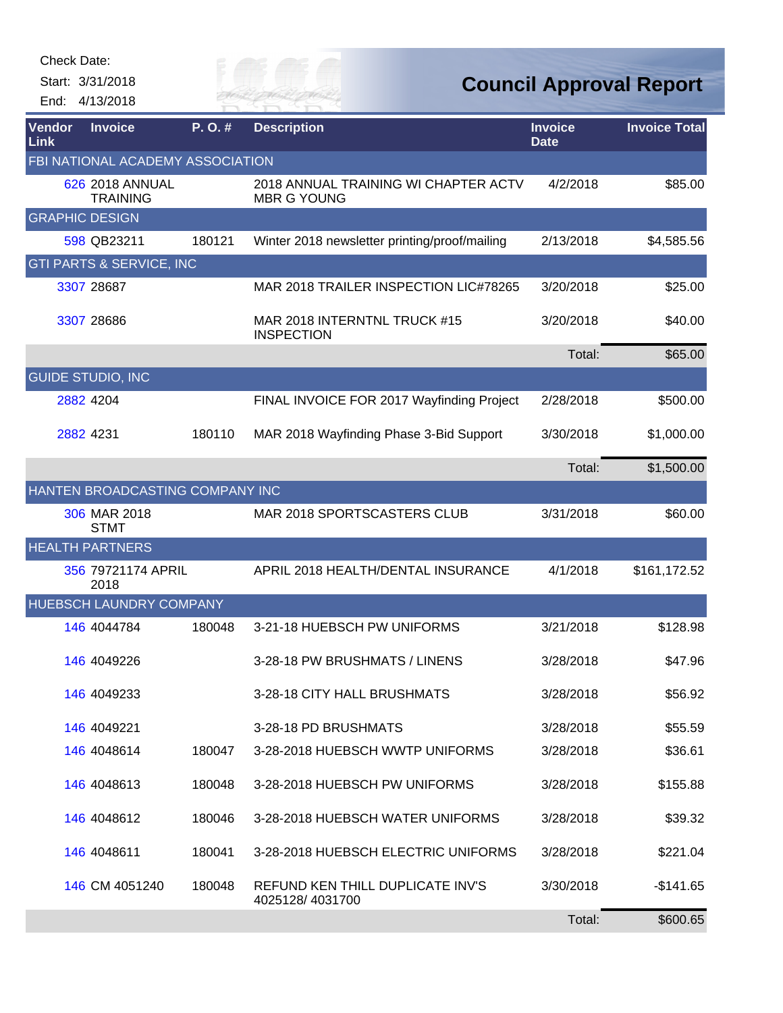Start: 3/31/2018

End: 4/13/2018

# RIVER FA

| <b>Vendor</b><br>Link | <b>Invoice</b>                      | P.O.#  | <b>Description</b>                                         | <b>Invoice</b><br><b>Date</b> | <b>Invoice Total</b> |
|-----------------------|-------------------------------------|--------|------------------------------------------------------------|-------------------------------|----------------------|
|                       | FBI NATIONAL ACADEMY ASSOCIATION    |        |                                                            |                               |                      |
|                       | 626 2018 ANNUAL<br><b>TRAINING</b>  |        | 2018 ANNUAL TRAINING WI CHAPTER ACTV<br><b>MBR G YOUNG</b> | 4/2/2018                      | \$85.00              |
| <b>GRAPHIC DESIGN</b> |                                     |        |                                                            |                               |                      |
|                       | 598 QB23211                         | 180121 | Winter 2018 newsletter printing/proof/mailing              | 2/13/2018                     | \$4,585.56           |
|                       | <b>GTI PARTS &amp; SERVICE, INC</b> |        |                                                            |                               |                      |
|                       | 3307 28687                          |        | MAR 2018 TRAILER INSPECTION LIC#78265                      | 3/20/2018                     | \$25.00              |
|                       | 3307 28686                          |        | MAR 2018 INTERNTNL TRUCK #15<br><b>INSPECTION</b>          | 3/20/2018                     | \$40.00              |
|                       |                                     |        |                                                            | Total:                        | \$65.00              |
|                       | <b>GUIDE STUDIO, INC</b>            |        |                                                            |                               |                      |
|                       | 2882 4204                           |        | FINAL INVOICE FOR 2017 Wayfinding Project                  | 2/28/2018                     | \$500.00             |
|                       | 2882 4231                           | 180110 | MAR 2018 Wayfinding Phase 3-Bid Support                    | 3/30/2018                     | \$1,000.00           |
|                       |                                     |        |                                                            | Total:                        | \$1,500.00           |
|                       | HANTEN BROADCASTING COMPANY INC     |        |                                                            |                               |                      |
|                       | 306 MAR 2018<br><b>STMT</b>         |        | MAR 2018 SPORTSCASTERS CLUB                                | 3/31/2018                     | \$60.00              |
|                       | <b>HEALTH PARTNERS</b>              |        |                                                            |                               |                      |
|                       | 356 79721174 APRIL<br>2018          |        | APRIL 2018 HEALTH/DENTAL INSURANCE                         | 4/1/2018                      | \$161,172.52         |
|                       | <b>HUEBSCH LAUNDRY COMPANY</b>      |        |                                                            |                               |                      |
|                       | 146 4044784                         | 180048 | 3-21-18 HUEBSCH PW UNIFORMS                                | 3/21/2018                     | \$128.98             |
|                       | 146 4049226                         |        | 3-28-18 PW BRUSHMATS / LINENS                              | 3/28/2018                     | \$47.96              |
|                       | 146 4049233                         |        | 3-28-18 CITY HALL BRUSHMATS                                | 3/28/2018                     | \$56.92              |
|                       | 146 4049221                         |        | 3-28-18 PD BRUSHMATS                                       | 3/28/2018                     | \$55.59              |
|                       | <b>146 4048614</b>                  | 180047 | 3-28-2018 HUEBSCH WWTP UNIFORMS                            | 3/28/2018                     | \$36.61              |
|                       | 146 4048613                         | 180048 | 3-28-2018 HUEBSCH PW UNIFORMS                              | 3/28/2018                     | \$155.88             |
|                       | 146 4048612                         | 180046 | 3-28-2018 HUEBSCH WATER UNIFORMS                           | 3/28/2018                     | \$39.32              |
|                       | 146 4048611                         | 180041 | 3-28-2018 HUEBSCH ELECTRIC UNIFORMS                        | 3/28/2018                     | \$221.04             |
|                       | 146 CM 4051240                      | 180048 | REFUND KEN THILL DUPLICATE INV'S<br>4025128/4031700        | 3/30/2018                     | -\$141.65            |
|                       |                                     |        |                                                            | Total:                        | \$600.65             |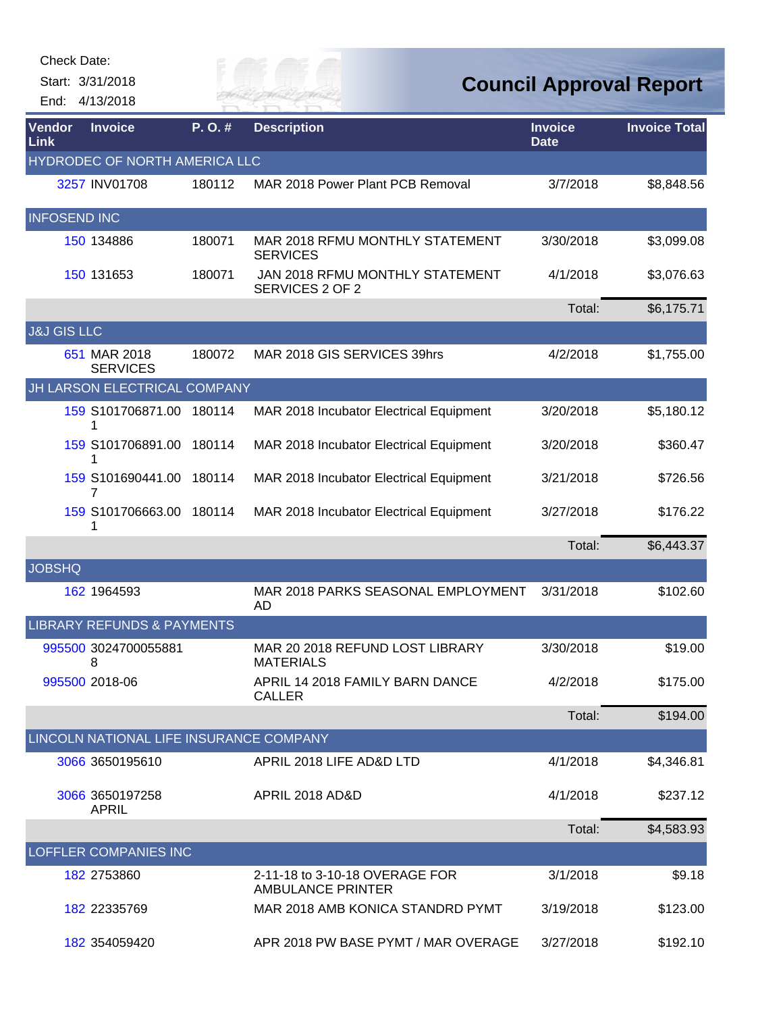| <b>Check Date:</b>     |                                         |        |                                                            |                               |                                |
|------------------------|-----------------------------------------|--------|------------------------------------------------------------|-------------------------------|--------------------------------|
|                        | Start: 3/31/2018                        |        |                                                            |                               | <b>Council Approval Report</b> |
|                        | End: 4/13/2018                          |        | FR MAI                                                     |                               |                                |
| Vendor<br>Link         | <b>Invoice</b>                          | P.O.#  | <b>Description</b>                                         | <b>Invoice</b><br><b>Date</b> | <b>Invoice Total</b>           |
|                        | HYDRODEC OF NORTH AMERICA LLC           |        |                                                            |                               |                                |
|                        | 3257 INV01708                           | 180112 | MAR 2018 Power Plant PCB Removal                           | 3/7/2018                      | \$8,848.56                     |
| <b>INFOSEND INC</b>    |                                         |        |                                                            |                               |                                |
|                        | 150 134886                              | 180071 | MAR 2018 RFMU MONTHLY STATEMENT<br><b>SERVICES</b>         | 3/30/2018                     | \$3,099.08                     |
|                        | 150 131653                              | 180071 | JAN 2018 RFMU MONTHLY STATEMENT<br>SERVICES 2 OF 2         | 4/1/2018                      | \$3,076.63                     |
|                        |                                         |        |                                                            | Total:                        | \$6,175.71                     |
| <b>J&amp;J GIS LLC</b> |                                         |        |                                                            |                               |                                |
|                        | 651 MAR 2018<br><b>SERVICES</b>         | 180072 | MAR 2018 GIS SERVICES 39hrs                                | 4/2/2018                      | \$1,755.00                     |
|                        | JH LARSON ELECTRICAL COMPANY            |        |                                                            |                               |                                |
|                        | 159 S101706871.00<br>1                  | 180114 | MAR 2018 Incubator Electrical Equipment                    | 3/20/2018                     | \$5,180.12                     |
|                        | 159 S101706891.00<br>1                  | 180114 | MAR 2018 Incubator Electrical Equipment                    | 3/20/2018                     | \$360.47                       |
|                        | 159 S101690441.00<br>7                  | 180114 | MAR 2018 Incubator Electrical Equipment                    | 3/21/2018                     | \$726.56                       |
|                        | 159 S101706663.00 180114<br>1           |        | MAR 2018 Incubator Electrical Equipment                    | 3/27/2018                     | \$176.22                       |
|                        |                                         |        |                                                            | Total:                        | \$6,443.37                     |
| <b>JOBSHQ</b>          |                                         |        |                                                            |                               |                                |
|                        | 162 1964593                             |        | MAR 2018 PARKS SEASONAL EMPLOYMENT<br>AD                   | 3/31/2018                     | \$102.60                       |
|                        | <b>LIBRARY REFUNDS &amp; PAYMENTS</b>   |        |                                                            |                               |                                |
|                        | 995500 3024700055881<br>8               |        | MAR 20 2018 REFUND LOST LIBRARY<br><b>MATERIALS</b>        | 3/30/2018                     | \$19.00                        |
|                        | 995500 2018-06                          |        | APRIL 14 2018 FAMILY BARN DANCE<br><b>CALLER</b>           | 4/2/2018                      | \$175.00                       |
|                        |                                         |        |                                                            | Total:                        | \$194.00                       |
|                        | LINCOLN NATIONAL LIFE INSURANCE COMPANY |        |                                                            |                               |                                |
|                        | 3066 3650195610                         |        | APRIL 2018 LIFE AD&D LTD                                   | 4/1/2018                      | \$4,346.81                     |
|                        | 3066 3650197258<br><b>APRIL</b>         |        | APRIL 2018 AD&D                                            | 4/1/2018                      | \$237.12                       |
|                        |                                         |        |                                                            | Total:                        | \$4,583.93                     |
|                        | LOFFLER COMPANIES INC                   |        |                                                            |                               |                                |
|                        | 182 2753860                             |        | 2-11-18 to 3-10-18 OVERAGE FOR<br><b>AMBULANCE PRINTER</b> | 3/1/2018                      | \$9.18                         |
|                        | 182 22335769                            |        | MAR 2018 AMB KONICA STANDRD PYMT                           | 3/19/2018                     | \$123.00                       |

[182](http://rfcapp.rfcity.org/Central/AppHost.aspx?App=vndcentral&VendorID=182) 354059420 APR 2018 PW BASE PYMT / MAR OVERAGE

3/27/2018 \$192.10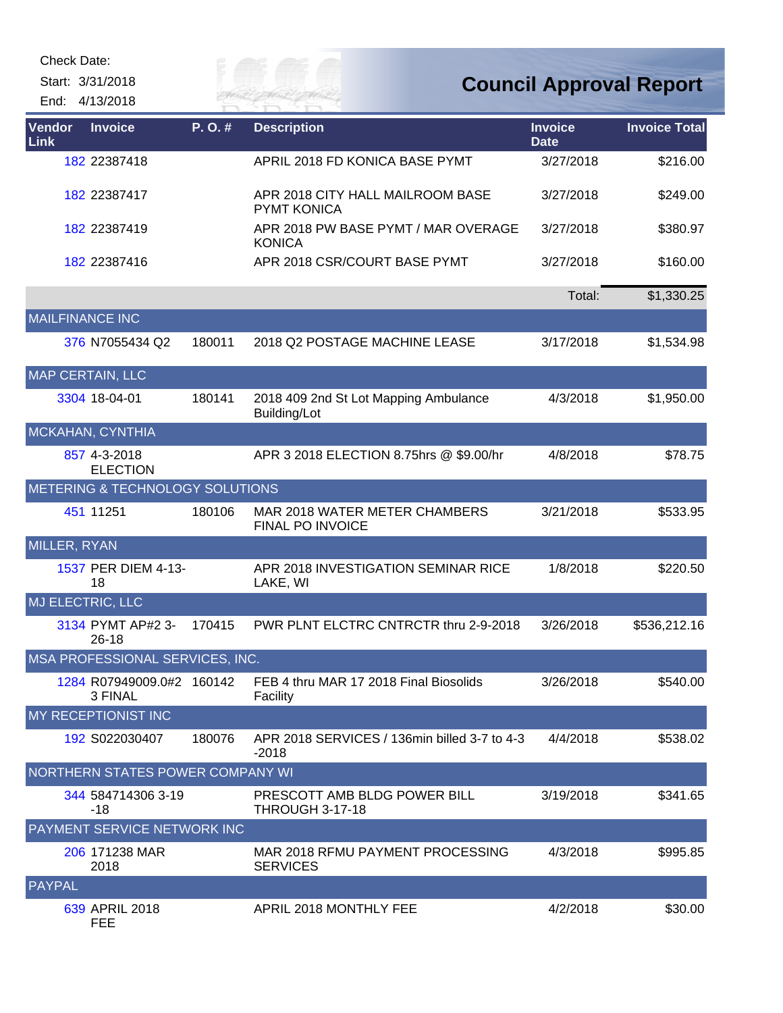| <b>Check Date:</b>     |                                      |        |                                                          |                               |                                |
|------------------------|--------------------------------------|--------|----------------------------------------------------------|-------------------------------|--------------------------------|
|                        | Start: 3/31/2018<br>End: 4/13/2018   |        | FR MAI                                                   |                               | <b>Council Approval Report</b> |
| Vendor<br>Link         | <b>Invoice</b>                       | P.O.#  | <b>Description</b>                                       | <b>Invoice</b><br><b>Date</b> | <b>Invoice Total</b>           |
|                        | 182 22387418                         |        | APRIL 2018 FD KONICA BASE PYMT                           | 3/27/2018                     | \$216.00                       |
|                        | 182 22387417                         |        | APR 2018 CITY HALL MAILROOM BASE<br><b>PYMT KONICA</b>   | 3/27/2018                     | \$249.00                       |
|                        | 182 22387419                         |        | APR 2018 PW BASE PYMT / MAR OVERAGE<br><b>KONICA</b>     | 3/27/2018                     | \$380.97                       |
|                        | 182 22387416                         |        | APR 2018 CSR/COURT BASE PYMT                             | 3/27/2018                     | \$160.00                       |
|                        |                                      |        |                                                          | Total:                        | \$1,330.25                     |
| <b>MAILFINANCE INC</b> |                                      |        |                                                          |                               |                                |
|                        | 376 N7055434 Q2                      | 180011 | 2018 Q2 POSTAGE MACHINE LEASE                            | 3/17/2018                     | \$1,534.98                     |
|                        | <b>MAP CERTAIN, LLC</b>              |        |                                                          |                               |                                |
|                        | 3304 18-04-01                        | 180141 | 2018 409 2nd St Lot Mapping Ambulance<br>Building/Lot    | 4/3/2018                      | \$1,950.00                     |
|                        | MCKAHAN, CYNTHIA                     |        |                                                          |                               |                                |
|                        | 857 4-3-2018<br><b>ELECTION</b>      |        | APR 3 2018 ELECTION 8.75hrs @ \$9.00/hr                  | 4/8/2018                      | \$78.75                        |
|                        | METERING & TECHNOLOGY SOLUTIONS      |        |                                                          |                               |                                |
|                        | 451 11251                            | 180106 | MAR 2018 WATER METER CHAMBERS<br><b>FINAL PO INVOICE</b> | 3/21/2018                     | \$533.95                       |
| <b>MILLER, RYAN</b>    |                                      |        |                                                          |                               |                                |
|                        | 1537 PER DIEM 4-13-<br>18            |        | APR 2018 INVESTIGATION SEMINAR RICE<br>LAKE, WI          | 1/8/2018                      | \$220.50                       |
|                        | MJ ELECTRIC, LLC                     |        |                                                          |                               |                                |
|                        | 3134 PYMT AP#2 3-<br>$26 - 18$       | 170415 | PWR PLNT ELCTRC CNTRCTR thru 2-9-2018                    | 3/26/2018                     | \$536,212.16                   |
|                        | MSA PROFESSIONAL SERVICES, INC.      |        |                                                          |                               |                                |
|                        | 1284 R07949009.0#2 160142<br>3 FINAL |        | FEB 4 thru MAR 17 2018 Final Biosolids<br>Facility       | 3/26/2018                     | \$540.00                       |
|                        | MY RECEPTIONIST INC                  |        |                                                          |                               |                                |
|                        | 192 S022030407                       | 180076 | APR 2018 SERVICES / 136min billed 3-7 to 4-3<br>$-2018$  | 4/4/2018                      | \$538.02                       |
|                        | NORTHERN STATES POWER COMPANY WI     |        |                                                          |                               |                                |
|                        | 344 584714306 3-19<br>$-18$          |        | PRESCOTT AMB BLDG POWER BILL<br><b>THROUGH 3-17-18</b>   | 3/19/2018                     | \$341.65                       |
|                        | PAYMENT SERVICE NETWORK INC          |        |                                                          |                               |                                |
|                        | 206 171238 MAR<br>2018               |        | MAR 2018 RFMU PAYMENT PROCESSING<br><b>SERVICES</b>      | 4/3/2018                      | \$995.85                       |
| <b>PAYPAL</b>          |                                      |        |                                                          |                               |                                |
|                        | 639 APRIL 2018<br><b>FEE</b>         |        | APRIL 2018 MONTHLY FEE                                   | 4/2/2018                      | \$30.00                        |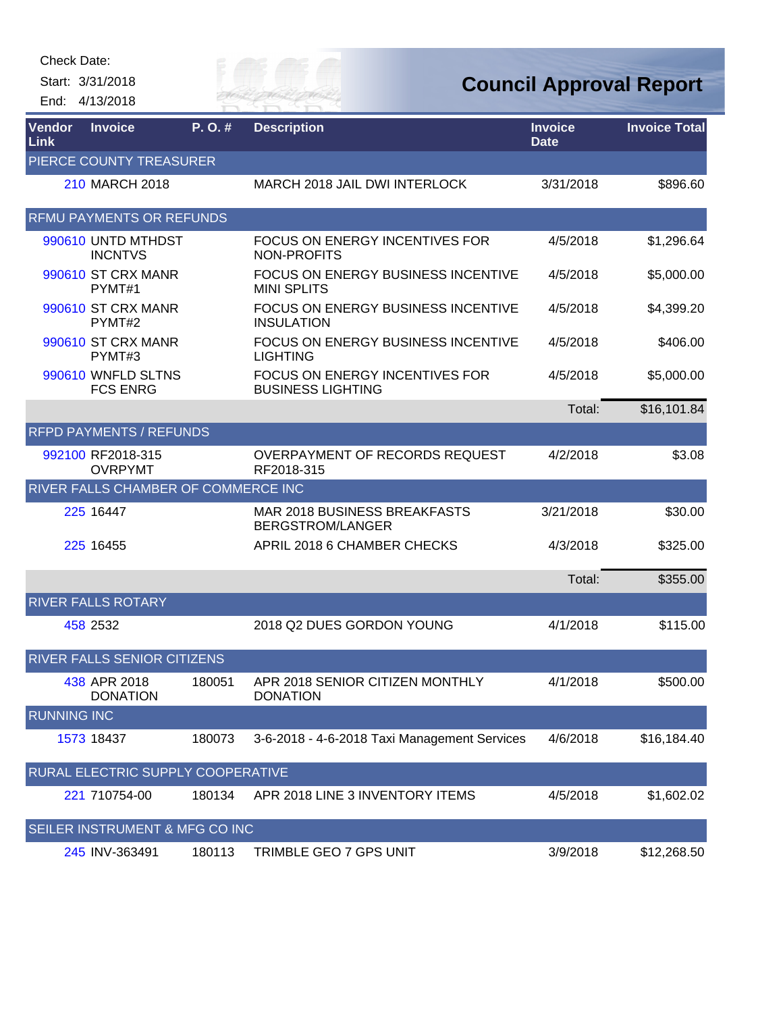Check Date:

Start: 3/31/2018 End: 4/13/2018



| Vendor<br>Link     | <b>Invoice</b>                        | P.O.#  | <b>Description</b>                                              | <b>Invoice</b><br><b>Date</b> | <b>Invoice Total</b> |
|--------------------|---------------------------------------|--------|-----------------------------------------------------------------|-------------------------------|----------------------|
|                    | PIERCE COUNTY TREASURER               |        |                                                                 |                               |                      |
|                    | 210 MARCH 2018                        |        | MARCH 2018 JAIL DWI INTERLOCK                                   | 3/31/2018                     | \$896.60             |
|                    | <b>RFMU PAYMENTS OR REFUNDS</b>       |        |                                                                 |                               |                      |
|                    | 990610 UNTD MTHDST<br><b>INCNTVS</b>  |        | <b>FOCUS ON ENERGY INCENTIVES FOR</b><br>NON-PROFITS            | 4/5/2018                      | \$1,296.64           |
|                    | 990610 ST CRX MANR<br>PYMT#1          |        | <b>FOCUS ON ENERGY BUSINESS INCENTIVE</b><br><b>MINI SPLITS</b> | 4/5/2018                      | \$5,000.00           |
|                    | 990610 ST CRX MANR<br>PYMT#2          |        | FOCUS ON ENERGY BUSINESS INCENTIVE<br><b>INSULATION</b>         | 4/5/2018                      | \$4,399.20           |
|                    | 990610 ST CRX MANR<br>PYMT#3          |        | FOCUS ON ENERGY BUSINESS INCENTIVE<br><b>LIGHTING</b>           | 4/5/2018                      | \$406.00             |
|                    | 990610 WNFLD SLTNS<br><b>FCS ENRG</b> |        | FOCUS ON ENERGY INCENTIVES FOR<br><b>BUSINESS LIGHTING</b>      | 4/5/2018                      | \$5,000.00           |
|                    |                                       |        |                                                                 | Total:                        | \$16,101.84          |
|                    | <b>RFPD PAYMENTS / REFUNDS</b>        |        |                                                                 |                               |                      |
|                    | 992100 RF2018-315<br><b>OVRPYMT</b>   |        | OVERPAYMENT OF RECORDS REQUEST<br>RF2018-315                    | 4/2/2018                      | \$3.08               |
|                    | RIVER FALLS CHAMBER OF COMMERCE INC   |        |                                                                 |                               |                      |
|                    | 225 16447                             |        | <b>MAR 2018 BUSINESS BREAKFASTS</b><br><b>BERGSTROM/LANGER</b>  | 3/21/2018                     | \$30.00              |
|                    | 225 16455                             |        | APRIL 2018 6 CHAMBER CHECKS                                     | 4/3/2018                      | \$325.00             |
|                    |                                       |        |                                                                 | Total:                        | \$355.00             |
|                    | <b>RIVER FALLS ROTARY</b>             |        |                                                                 |                               |                      |
|                    | 458 2532                              |        | 2018 Q2 DUES GORDON YOUNG                                       | 4/1/2018                      | \$115.00             |
|                    | <b>RIVER FALLS SENIOR CITIZENS</b>    |        |                                                                 |                               |                      |
|                    | 438 APR 2018<br><b>DONATION</b>       | 180051 | APR 2018 SENIOR CITIZEN MONTHLY<br><b>DONATION</b>              | 4/1/2018                      | \$500.00             |
| <b>RUNNING INC</b> |                                       |        |                                                                 |                               |                      |
|                    | 1573 18437                            | 180073 | 3-6-2018 - 4-6-2018 Taxi Management Services                    | 4/6/2018                      | \$16,184.40          |
|                    | RURAL ELECTRIC SUPPLY COOPERATIVE     |        |                                                                 |                               |                      |
|                    | 221 710754-00                         | 180134 | APR 2018 LINE 3 INVENTORY ITEMS                                 | 4/5/2018                      | \$1,602.02           |
|                    | SEILER INSTRUMENT & MFG CO INC        |        |                                                                 |                               |                      |
|                    | 245 INV-363491                        | 180113 | TRIMBLE GEO 7 GPS UNIT                                          | 3/9/2018                      | \$12,268.50          |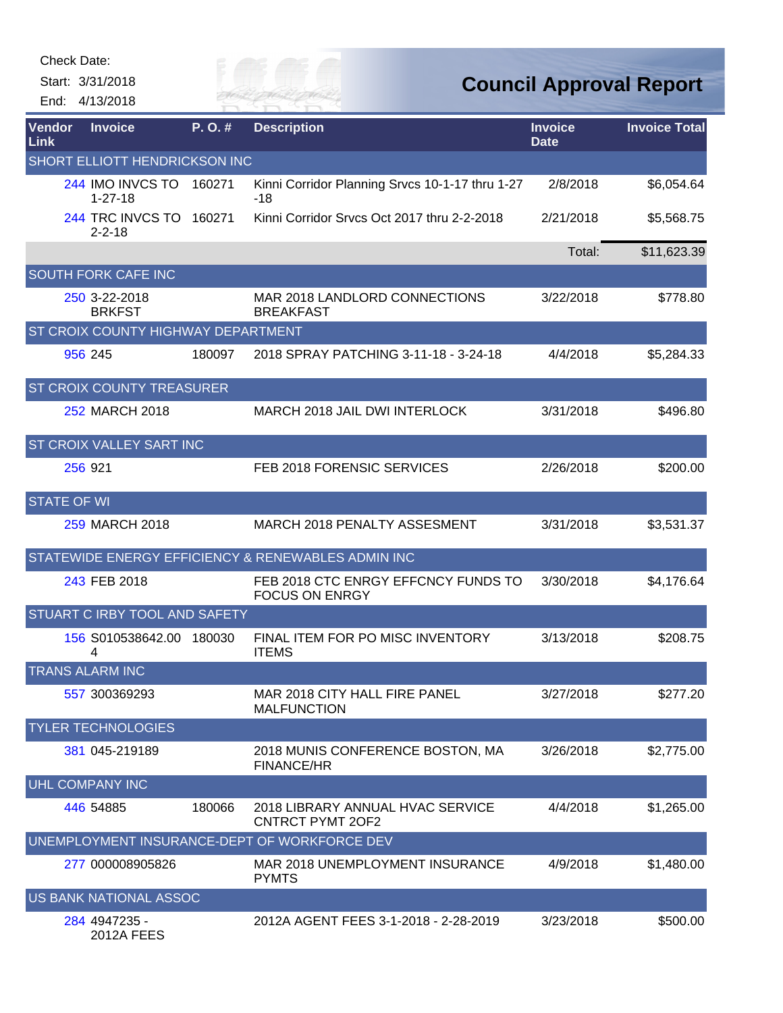| Check Date: |
|-------------|
|             |

Start: 3/31/2018 End: 4/13/2018



| Vendor<br>Link                | <b>Invoice</b>                            | P.O.#  | <b>Description</b>                                           | <b>Invoice</b><br><b>Date</b> | <b>Invoice Total</b> |  |  |
|-------------------------------|-------------------------------------------|--------|--------------------------------------------------------------|-------------------------------|----------------------|--|--|
| SHORT ELLIOTT HENDRICKSON INC |                                           |        |                                                              |                               |                      |  |  |
|                               | 244 IMO INVCS TO<br>$1 - 27 - 18$         | 160271 | Kinni Corridor Planning Srvcs 10-1-17 thru 1-27<br>-18       | 2/8/2018                      | \$6,054.64           |  |  |
|                               | 244 TRC INVCS TO 160271<br>$2 - 2 - 18$   |        | Kinni Corridor Srvcs Oct 2017 thru 2-2-2018                  | 2/21/2018                     | \$5,568.75           |  |  |
|                               |                                           |        |                                                              | Total:                        | \$11,623.39          |  |  |
|                               | <b>SOUTH FORK CAFE INC</b>                |        |                                                              |                               |                      |  |  |
|                               | 250 3-22-2018<br><b>BRKFST</b>            |        | MAR 2018 LANDLORD CONNECTIONS<br><b>BREAKFAST</b>            | 3/22/2018                     | \$778.80             |  |  |
|                               | <b>ST CROIX COUNTY HIGHWAY DEPARTMENT</b> |        |                                                              |                               |                      |  |  |
|                               | 956 245                                   | 180097 | 2018 SPRAY PATCHING 3-11-18 - 3-24-18                        | 4/4/2018                      | \$5,284.33           |  |  |
|                               | <b>ST CROIX COUNTY TREASURER</b>          |        |                                                              |                               |                      |  |  |
|                               | 252 MARCH 2018                            |        | MARCH 2018 JAIL DWI INTERLOCK                                | 3/31/2018                     | \$496.80             |  |  |
|                               | <b>ST CROIX VALLEY SART INC</b>           |        |                                                              |                               |                      |  |  |
|                               | 256 921                                   |        | FEB 2018 FORENSIC SERVICES                                   | 2/26/2018                     | \$200.00             |  |  |
| <b>STATE OF WI</b>            |                                           |        |                                                              |                               |                      |  |  |
|                               | 259 MARCH 2018                            |        | <b>MARCH 2018 PENALTY ASSESMENT</b>                          | 3/31/2018                     | \$3,531.37           |  |  |
|                               |                                           |        | STATEWIDE ENERGY EFFICIENCY & RENEWABLES ADMIN INC           |                               |                      |  |  |
|                               | 243 FEB 2018                              |        | FEB 2018 CTC ENRGY EFFCNCY FUNDS TO<br><b>FOCUS ON ENRGY</b> | 3/30/2018                     | \$4,176.64           |  |  |
|                               | <b>STUART C IRBY TOOL AND SAFETY</b>      |        |                                                              |                               |                      |  |  |
|                               | 156 S010538642.00 180030<br>4             |        | FINAL ITEM FOR PO MISC INVENTORY<br><b>ITEMS</b>             | 3/13/2018                     | \$208.75             |  |  |
| <b>TRANS ALARM INC</b>        |                                           |        |                                                              |                               |                      |  |  |
|                               | 557 300369293                             |        | MAR 2018 CITY HALL FIRE PANEL<br><b>MALFUNCTION</b>          | 3/27/2018                     | \$277.20             |  |  |
|                               | <b>TYLER TECHNOLOGIES</b>                 |        |                                                              |                               |                      |  |  |
|                               | 381 045-219189                            |        | 2018 MUNIS CONFERENCE BOSTON, MA<br><b>FINANCE/HR</b>        | 3/26/2018                     | \$2,775.00           |  |  |
|                               | <b>UHL COMPANY INC</b>                    |        |                                                              |                               |                      |  |  |
|                               | 446 54885                                 | 180066 | 2018 LIBRARY ANNUAL HVAC SERVICE<br><b>CNTRCT PYMT 2OF2</b>  | 4/4/2018                      | \$1,265.00           |  |  |
|                               |                                           |        | UNEMPLOYMENT INSURANCE-DEPT OF WORKFORCE DEV                 |                               |                      |  |  |
|                               | 277 000008905826                          |        | MAR 2018 UNEMPLOYMENT INSURANCE<br><b>PYMTS</b>              | 4/9/2018                      | \$1,480.00           |  |  |
|                               | US BANK NATIONAL ASSOC                    |        |                                                              |                               |                      |  |  |
|                               | 284 4947235 -<br><b>2012A FEES</b>        |        | 2012A AGENT FEES 3-1-2018 - 2-28-2019                        | 3/23/2018                     | \$500.00             |  |  |